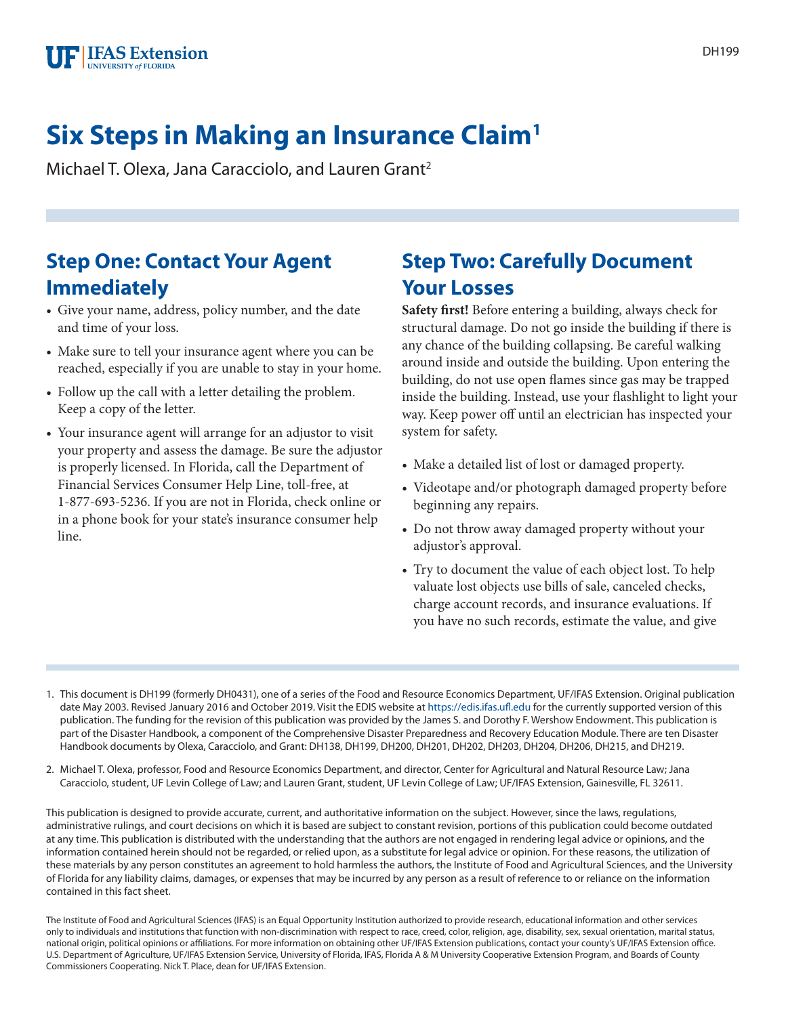# **Six Steps in Making an Insurance Claim1**

Michael T. Olexa, Jana Caracciolo, and Lauren Grant<sup>2</sup>

## **Step One: Contact Your Agent Immediately**

- Give your name, address, policy number, and the date and time of your loss.
- Make sure to tell your insurance agent where you can be reached, especially if you are unable to stay in your home.
- Follow up the call with a letter detailing the problem. Keep a copy of the letter.
- Your insurance agent will arrange for an adjustor to visit your property and assess the damage. Be sure the adjustor is properly licensed. In Florida, call the Department of Financial Services Consumer Help Line, toll-free, at 1-877-693-5236. If you are not in Florida, check online or in a phone book for your state's insurance consumer help line.

## **Step Two: Carefully Document Your Losses**

**Safety first!** Before entering a building, always check for structural damage. Do not go inside the building if there is any chance of the building collapsing. Be careful walking around inside and outside the building. Upon entering the building, do not use open flames since gas may be trapped inside the building. Instead, use your flashlight to light your way. Keep power off until an electrician has inspected your system for safety.

- Make a detailed list of lost or damaged property.
- Videotape and/or photograph damaged property before beginning any repairs.
- Do not throw away damaged property without your adjustor's approval.
- Try to document the value of each object lost. To help valuate lost objects use bills of sale, canceled checks, charge account records, and insurance evaluations. If you have no such records, estimate the value, and give
- 1. This document is DH199 (formerly DH0431), one of a series of the Food and Resource Economics Department, UF/IFAS Extension. Original publication date May 2003. Revised January 2016 and October 2019. Visit the EDIS website at<https://edis.ifas.ufl.edu>for the currently supported version of this publication. The funding for the revision of this publication was provided by the James S. and Dorothy F. Wershow Endowment. This publication is part of the Disaster Handbook, a component of the Comprehensive Disaster Preparedness and Recovery Education Module. There are ten Disaster Handbook documents by Olexa, Caracciolo, and Grant: DH138, DH199, DH200, DH201, DH202, DH203, DH204, DH206, DH215, and DH219.
- 2. Michael T. Olexa, professor, Food and Resource Economics Department, and director, Center for Agricultural and Natural Resource Law; Jana Caracciolo, student, UF Levin College of Law; and Lauren Grant, student, UF Levin College of Law; UF/IFAS Extension, Gainesville, FL 32611.

This publication is designed to provide accurate, current, and authoritative information on the subject. However, since the laws, regulations, administrative rulings, and court decisions on which it is based are subject to constant revision, portions of this publication could become outdated at any time. This publication is distributed with the understanding that the authors are not engaged in rendering legal advice or opinions, and the information contained herein should not be regarded, or relied upon, as a substitute for legal advice or opinion. For these reasons, the utilization of these materials by any person constitutes an agreement to hold harmless the authors, the Institute of Food and Agricultural Sciences, and the University of Florida for any liability claims, damages, or expenses that may be incurred by any person as a result of reference to or reliance on the information contained in this fact sheet.

The Institute of Food and Agricultural Sciences (IFAS) is an Equal Opportunity Institution authorized to provide research, educational information and other services only to individuals and institutions that function with non-discrimination with respect to race, creed, color, religion, age, disability, sex, sexual orientation, marital status, national origin, political opinions or affiliations. For more information on obtaining other UF/IFAS Extension publications, contact your county's UF/IFAS Extension office. U.S. Department of Agriculture, UF/IFAS Extension Service, University of Florida, IFAS, Florida A & M University Cooperative Extension Program, and Boards of County Commissioners Cooperating. Nick T. Place, dean for UF/IFAS Extension.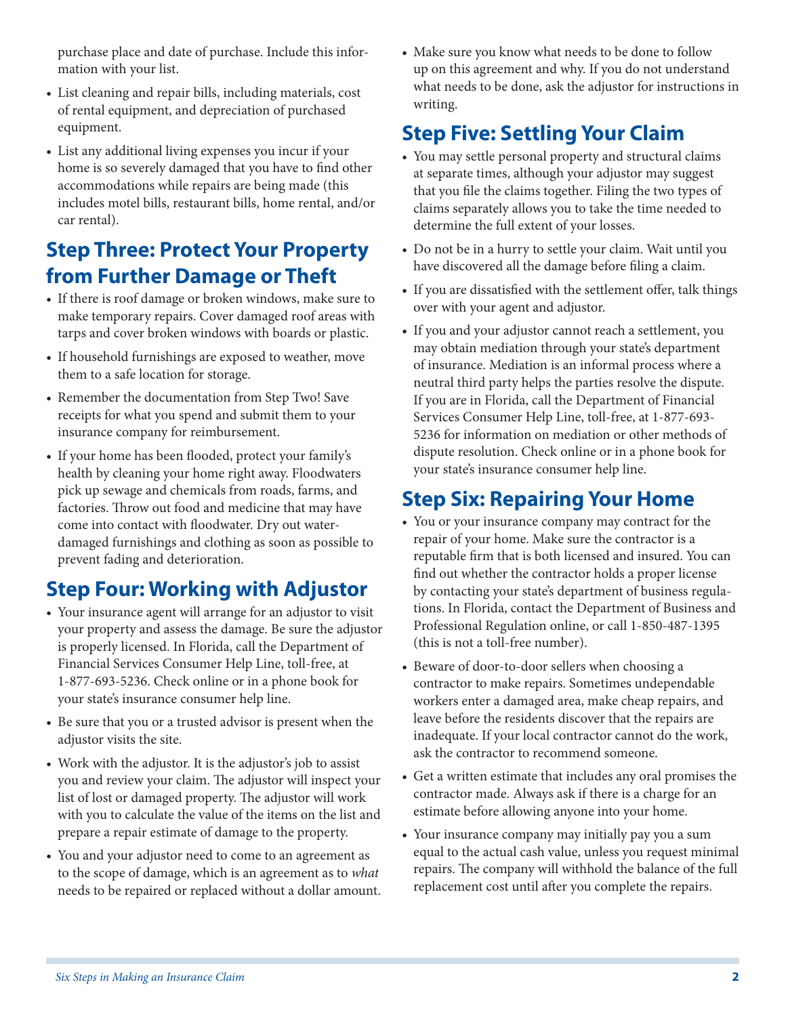purchase place and date of purchase. Include this information with your list.

- List cleaning and repair bills, including materials, cost of rental equipment, and depreciation of purchased equipment.
- List any additional living expenses you incur if your home is so severely damaged that you have to find other accommodations while repairs are being made (this includes motel bills, restaurant bills, home rental, and/or car rental).

## **Step Three: Protect Your Property from Further Damage or Theft**

- If there is roof damage or broken windows, make sure to make temporary repairs. Cover damaged roof areas with tarps and cover broken windows with boards or plastic.
- If household furnishings are exposed to weather, move them to a safe location for storage.
- Remember the documentation from Step Two! Save receipts for what you spend and submit them to your insurance company for reimbursement.
- If your home has been flooded, protect your family's health by cleaning your home right away. Floodwaters pick up sewage and chemicals from roads, farms, and factories. Throw out food and medicine that may have come into contact with floodwater. Dry out waterdamaged furnishings and clothing as soon as possible to prevent fading and deterioration.

# **Step Four: Working with Adjustor**

- Your insurance agent will arrange for an adjustor to visit your property and assess the damage. Be sure the adjustor is properly licensed. In Florida, call the Department of Financial Services Consumer Help Line, toll-free, at 1-877-693-5236. Check online or in a phone book for your state's insurance consumer help line.
- Be sure that you or a trusted advisor is present when the adjustor visits the site.
- Work with the adjustor. It is the adjustor's job to assist you and review your claim. The adjustor will inspect your list of lost or damaged property. The adjustor will work with you to calculate the value of the items on the list and prepare a repair estimate of damage to the property.
- You and your adjustor need to come to an agreement as to the scope of damage, which is an agreement as to *what* needs to be repaired or replaced without a dollar amount.

• Make sure you know what needs to be done to follow up on this agreement and why. If you do not understand what needs to be done, ask the adjustor for instructions in writing.

# **Step Five: Settling Your Claim**

- You may settle personal property and structural claims at separate times, although your adjustor may suggest that you file the claims together. Filing the two types of claims separately allows you to take the time needed to determine the full extent of your losses.
- Do not be in a hurry to settle your claim. Wait until you have discovered all the damage before filing a claim.
- If you are dissatisfied with the settlement offer, talk things over with your agent and adjustor.
- If you and your adjustor cannot reach a settlement, you may obtain mediation through your state's department of insurance. Mediation is an informal process where a neutral third party helps the parties resolve the dispute. If you are in Florida, call the Department of Financial Services Consumer Help Line, toll-free, at 1-877-693- 5236 for information on mediation or other methods of dispute resolution. Check online or in a phone book for your state's insurance consumer help line.

## **Step Six: Repairing Your Home**

- You or your insurance company may contract for the repair of your home. Make sure the contractor is a reputable firm that is both licensed and insured. You can find out whether the contractor holds a proper license by contacting your state's department of business regulations. In Florida, contact the Department of Business and Professional Regulation online, or call 1-850-487-1395 (this is not a toll-free number).
- Beware of door-to-door sellers when choosing a contractor to make repairs. Sometimes undependable workers enter a damaged area, make cheap repairs, and leave before the residents discover that the repairs are inadequate. If your local contractor cannot do the work, ask the contractor to recommend someone.
- Get a written estimate that includes any oral promises the contractor made. Always ask if there is a charge for an estimate before allowing anyone into your home.
- Your insurance company may initially pay you a sum equal to the actual cash value, unless you request minimal repairs. The company will withhold the balance of the full replacement cost until after you complete the repairs.